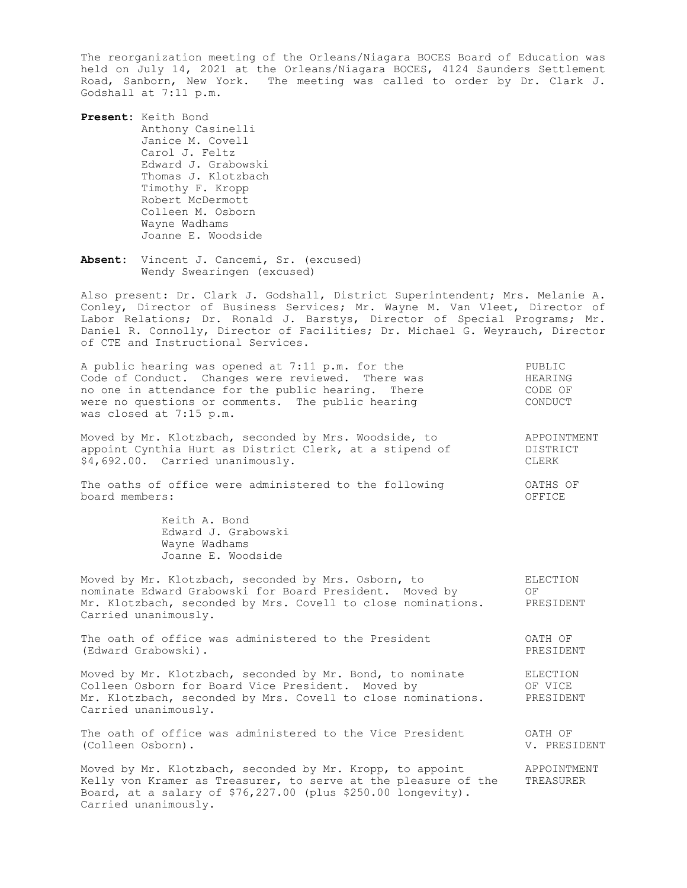The reorganization meeting of the Orleans/Niagara BOCES Board of Education was held on July 14, 2021 at the Orleans/Niagara BOCES, 4124 Saunders Settlement Road, Sanborn, New York. The meeting was called to order by Dr. Clark J. Godshall at 7:11 p.m.

**Present:** Keith Bond Anthony Casinelli Janice M. Covell Carol J. Feltz Edward J. Grabowski Thomas J. Klotzbach Timothy F. Kropp Robert McDermott Colleen M. Osborn Wayne Wadhams Joanne E. Woodside

Carried unanimously.

**Absent:** Vincent J. Cancemi, Sr. (excused) Wendy Swearingen (excused)

Also present: Dr. Clark J. Godshall, District Superintendent; Mrs. Melanie A. Conley, Director of Business Services; Mr. Wayne M. Van Vleet, Director of Labor Relations; Dr. Ronald J. Barstys, Director of Special Programs; Mr. Daniel R. Connolly, Director of Facilities; Dr. Michael G. Weyrauch, Director of CTE and Instructional Services.

| A public hearing was opened at 7:11 p.m. for the<br>Code of Conduct. Changes were reviewed. There was<br>no one in attendance for the public hearing. There<br>were no questions or comments. The public hearing<br>was closed at 7:15 p.m. | PUBLIC<br>HEARING<br>CODE OF<br>CONDUCT |
|---------------------------------------------------------------------------------------------------------------------------------------------------------------------------------------------------------------------------------------------|-----------------------------------------|
| Moved by Mr. Klotzbach, seconded by Mrs. Woodside, to<br>appoint Cynthia Hurt as District Clerk, at a stipend of<br>\$4,692.00. Carried unanimously.                                                                                        | APPOINTMENT<br>DISTRICT<br>CLERK        |
| The oaths of office were administered to the following<br>board members:                                                                                                                                                                    | OATHS OF<br>OFFICE                      |
| Keith A. Bond<br>Edward J. Grabowski<br>Wayne Wadhams<br>Joanne E. Woodside                                                                                                                                                                 |                                         |
| Moved by Mr. Klotzbach, seconded by Mrs. Osborn, to<br>nominate Edward Grabowski for Board President. Moved by<br>Mr. Klotzbach, seconded by Mrs. Covell to close nominations.<br>Carried unanimously.                                      | ELECTION<br>OF<br>PRESIDENT             |
| The oath of office was administered to the President<br>(Edward Grabowski).                                                                                                                                                                 | OATH OF<br>PRESIDENT                    |
| Moved by Mr. Klotzbach, seconded by Mr. Bond, to nominate<br>Colleen Osborn for Board Vice President. Moved by<br>Mr. Klotzbach, seconded by Mrs. Covell to close nominations.<br>Carried unanimously.                                      | ELECTION<br>OF VICE<br>PRESIDENT        |
| The oath of office was administered to the Vice President<br>(Colleen Osborn).                                                                                                                                                              | OATH OF<br>V. PRESIDENT                 |
| Moved by Mr. Klotzbach, seconded by Mr. Kropp, to appoint<br>Kelly von Kramer as Treasurer, to serve at the pleasure of the<br>Board, at a salary of \$76,227.00 (plus \$250.00 longevity).                                                 | APPOINTMENT<br>TREASURER                |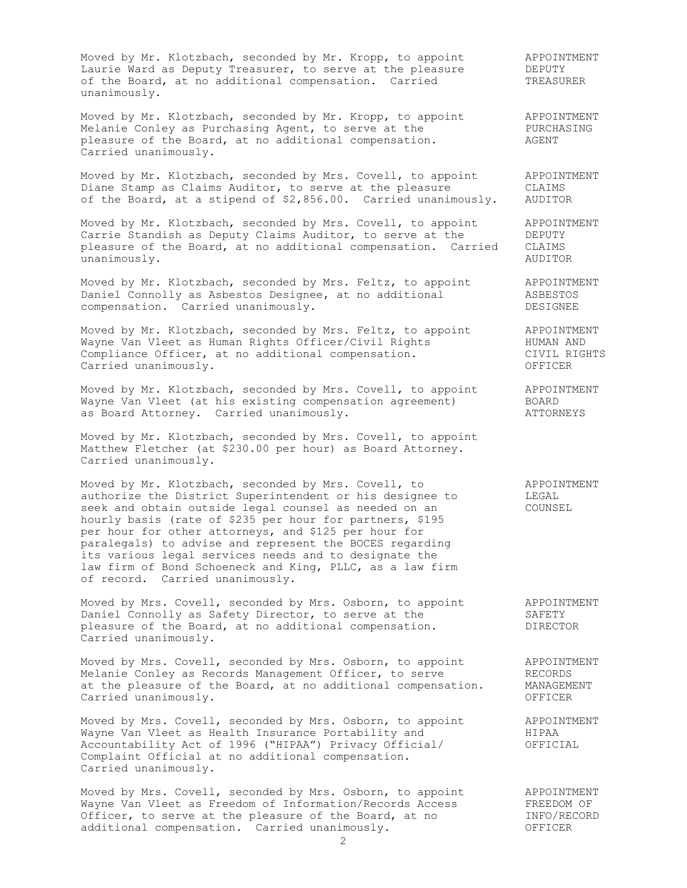Moved by Mr. Klotzbach, seconded by Mr. Kropp, to appoint APPOINTMENT Laurie Ward as Deputy Treasurer, to serve at the pleasure TEPUTY of the Board, at no additional compensation. Carried TREASURER unanimously.

Moved by Mr. Klotzbach, seconded by Mr. Kropp, to appoint APPOINTMENT Melanie Conley as Purchasing Agent, to serve at the **PURCHASING** pleasure of the Board, at no additional compensation.  $\overline{A}$  AGENT Carried unanimously.

Moved by Mr. Klotzbach, seconded by Mrs. Covell, to appoint APPOINTMENT Diane Stamp as Claims Auditor, to serve at the pleasure CLAIMS of the Board, at a stipend of \$2,856.00. Carried unanimously. AUDITOR

Moved by Mr. Klotzbach, seconded by Mrs. Covell, to appoint APPOINTMENT Carrie Standish as Deputy Claims Auditor, to serve at the TEPUTY pleasure of the Board, at no additional compensation. Carried CLAIMS<br>unanimously. AUDITOR unanimously.

Moved by Mr. Klotzbach, seconded by Mrs. Feltz, to appoint APPOINTMENT Daniel Connolly as Asbestos Designee, at no additional ASBESTOS compensation. Carried unanimously. The compensation of the compensation of  $\sim$ 

Moved by Mr. Klotzbach, seconded by Mrs. Feltz, to appoint APPOINTMENT Wayne Van Vleet as Human Rights Officer/Civil Rights The MUMAN AND Compliance Officer, at no additional compensation. The CIVIL RIGHTS Carried unanimously. OFFICER

Moved by Mr. Klotzbach, seconded by Mrs. Covell, to appoint APPOINTMENT Wayne Van Vleet (at his existing compensation agreement) BOARD as Board Attorney. Carried unanimously. The case of the ATTORNEYS

Moved by Mr. Klotzbach, seconded by Mrs. Covell, to appoint Matthew Fletcher (at \$230.00 per hour) as Board Attorney. Carried unanimously.

Moved by Mr. Klotzbach, seconded by Mrs. Covell, to APPOINTMENT moved by m. Microspach, become a  $\frac{1}{2}$  m. Covert, or authorize the District Superintendent or his designee to LEGAL<br>seek and obtain outside legal counsel as needed on an seek and obtain outside legal counsel as needed on an hourly basis (rate of \$235 per hour for partners, \$195 per hour for other attorneys, and \$125 per hour for paralegals) to advise and represent the BOCES regarding its various legal services needs and to designate the law firm of Bond Schoeneck and King, PLLC, as a law firm of record. Carried unanimously.

Moved by Mrs. Covell, seconded by Mrs. Osborn, to appoint APPOINTMENT Daniel Connolly as Safety Director, to serve at the SAFETY pleasure of the Board, at no additional compensation.  $DIRECTOR$ Carried unanimously.

Moved by Mrs. Covell, seconded by Mrs. Osborn, to appoint APPOINTMENT Melanie Conley as Records Management Officer, to serve The RECORDS at the pleasure of the Board, at no additional compensation. MANAGEMENT Carried unanimously. OFFICER

Moved by Mrs. Covell, seconded by Mrs. Osborn, to appoint APPOINTMENT Wayne Van Vleet as Health Insurance Portability and **HIPAA** Accountability Act of 1996 ("HIPAA") Privacy Official/ OFFICIAL Complaint Official at no additional compensation. Carried unanimously.

Moved by Mrs. Covell, seconded by Mrs. Osborn, to appoint APPOINTMENT Wayne Van Vleet as Freedom of Information/Records Access FREEDOM OF Officer, to serve at the pleasure of the Board, at no **INFO/RECORD** additional compensation. Carried unanimously. The CONSERVICER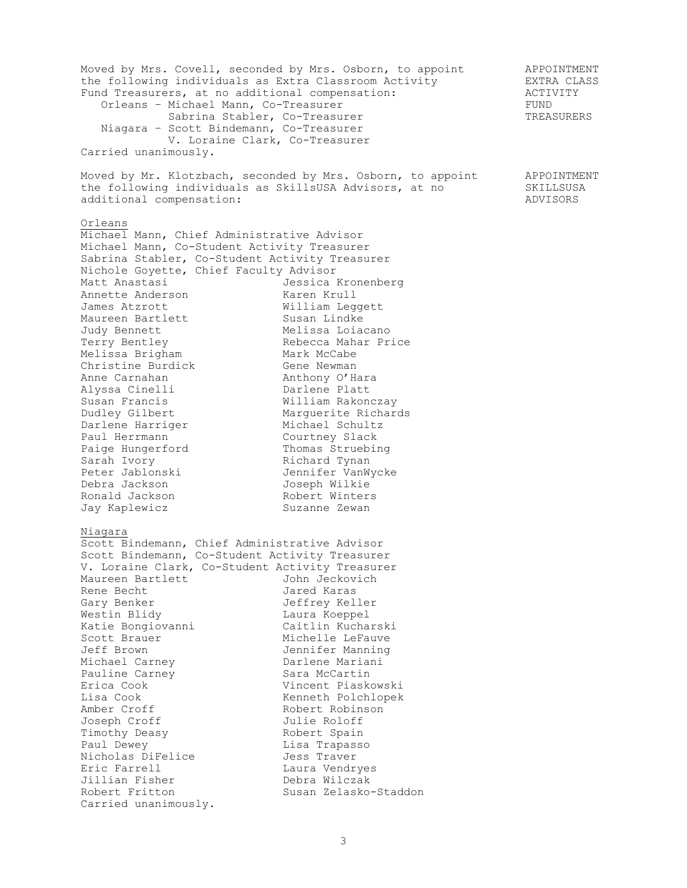Moved by Mrs. Covell, seconded by Mrs. Osborn, to appoint APPOINTMENT the following individuals as Extra Classroom Activity EXTRA CLASS Fund Treasurers, at no additional compensation:  $\overline{A}$  ACTIVITY Orleans – Michael Mann, Co-Treasurer FUND Sabrina Stabler, Co-Treasurer TREASURERS Niagara – Scott Bindemann, Co-Treasurer V. Loraine Clark, Co-Treasurer Carried unanimously. Moved by Mr. Klotzbach, seconded by Mrs. Osborn, to appoint APPOINTMENT the following individuals as SkillsUSA Advisors, at no SKILLSUSA additional compensation:  $\overline{A}$ Orleans Michael Mann, Chief Administrative Advisor Michael Mann, Co-Student Activity Treasurer Sabrina Stabler, Co-Student Activity Treasurer<br>Nichole Goyette, Chief Faculty Advisor Nichole Goyette, Chief Faculty Advisor Matt Anastasi Jessica Kronenberg Annette Anderson Maren Krull James Atzrott Milliam Leggett Maureen Bartlett **Susan Lindke** Judy Bennett **Melissa** Loiacano Terry Bentley Rebecca Mahar Price Melissa Brigham Mark McCabe Christine Burdick Gene Newman Anne Carnahan **Anthony O'Hara** Alyssa Cinelli Darlene Platt Susan Francis William Rakonczay Dudley Gilbert Marguerite Richards Darlene Harriger Michael Schultz Paul Herrmann Courtney Slack Paige Hungerford Thomas Struebing Sarah Ivory **Richard Tynan** Peter Jablonski Jennifer VanWycke Debra Jackson Joseph Wilkie Ronald Jackson **Robert Winters** Jay Kaplewicz **Suzanne Zewan** Niagara Scott Bindemann, Chief Administrative Advisor Scott Bindemann, Co-Student Activity Treasurer<br>V. Loraine Clark, Co-Student Activity Treasurer V. Loraine Clark, Co-Student Activity Treasurer Maureen Bartlett **Graution Communist Management** Rene Becht Jared Karas Gary Benker Jeffrey Keller Westin Blidy **Laura Koeppel** Katie Bongiovanni Caitlin Kucharski Scott Brauer Michelle LeFauve Jeff Brown Jennifer Manning Michael Carney **Barlene Mariani** Pauline Carney **Sara McCartin** Erica Cook Vincent Piaskowski Lisa Cook **Kenneth Polchlopek** Amber Croff **Robert Robinson** Joseph Croff Julie Roloff Timothy Deasy **Example 2** Robert Spain Paul Dewey **Lisa Trapasso** Nicholas DiFelice Jess Traver Eric Farrell **Laura Vendryes** Jillian Fisher Debra Wilczak Robert Fritton **Susan Zelasko-Staddon** Carried unanimously.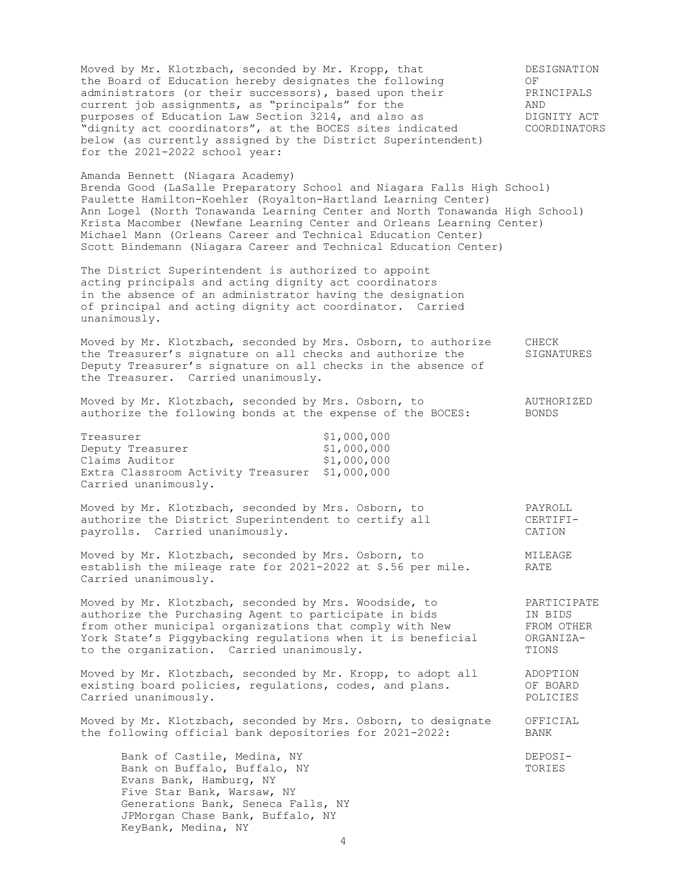Moved by Mr. Klotzbach, seconded by Mr. Kropp, that DESIGNATION<br>the Board of Education hereby designates the following OF<br>administrators (or their successors), based upon their PRINCIPALS the Board of Education hereby designates the following 60 OF administrators (or their successors), based upon their PRINCIPALS current job assignments, as "principals" for the AND<br>purposes of Education Law Section 3214, and also as AND DIGNITY ACT purposes of Education Law Section 3214, and also as  $\qquad$  DIGNITY ACT "dignity act coordinators", at the BOCES sites indicated COORDINATORS below (as currently assigned by the District Superintendent) for the 2021-2022 school year: Amanda Bennett (Niagara Academy) Brenda Good (LaSalle Preparatory School and Niagara Falls High School) Paulette Hamilton-Koehler (Royalton-Hartland Learning Center) Ann Logel (North Tonawanda Learning Center and North Tonawanda High School) Krista Macomber (Newfane Learning Center and Orleans Learning Center) Michael Mann (Orleans Career and Technical Education Center) Scott Bindemann (Niagara Career and Technical Education Center) The District Superintendent is authorized to appoint acting principals and acting dignity act coordinators in the absence of an administrator having the designation of principal and acting dignity act coordinator. Carried unanimously. Moved by Mr. Klotzbach, seconded by Mrs. Osborn, to authorize CHECK the Treasurer's signature on all checks and authorize the SIGNATURES Deputy Treasurer's signature on all checks in the absence of the Treasurer. Carried unanimously. Moved by Mr. Klotzbach, seconded by Mrs. Osborn, to AUTHORIZED authorize the following bonds at the expense of the BOCES: BONDS authorize the following bonds at the expense of the BOCES: Treasurer \$1,000,000 Deputy Treasurer \$1,000,000 Claims Auditor  $$1,000,000$ Extra Classroom Activity Treasurer \$1,000,000 Carried unanimously. Moved by Mr. Klotzbach, seconded by Mrs. Osborn, to PAYROLL authorize the District Superintendent to certify all CERTIFIpayrolls. Carried unanimously. The control of the carried unanimously. Moved by Mr. Klotzbach, seconded by Mrs. Osborn, to MILEAGE establish the mileage rate for 2021-2022 at \$.56 per mile. RATE Carried unanimously. Moved by Mr. Klotzbach, seconded by Mrs. Woodside, to PARTICIPATE authorize the Purchasing Agent to participate in bids IN BIDS from other municipal organizations that comply with New FROM OTHER York State's Piggybacking regulations when it is beneficial ORGANIZAto the organization. Carried unanimously. TIONS Moved by Mr. Klotzbach, seconded by Mr. Kropp, to adopt all aDOPTION existing board policies, regulations, codes, and plans. existing board policies, regulations, codes, and plans. OF BOARD<br>Carried unanimously. Carried unanimously. Moved by Mr. Klotzbach, seconded by Mrs. Osborn, to designate OFFICIAL the following official bank depositories for 2021-2022: BANK Bank of Castile, Medina, NY DEPOSI-Bank on Buffalo, Buffalo, NY TORIES Evans Bank, Hamburg, NY Five Star Bank, Warsaw, NY Generations Bank, Seneca Falls, NY JPMorgan Chase Bank, Buffalo, NY KeyBank, Medina, NY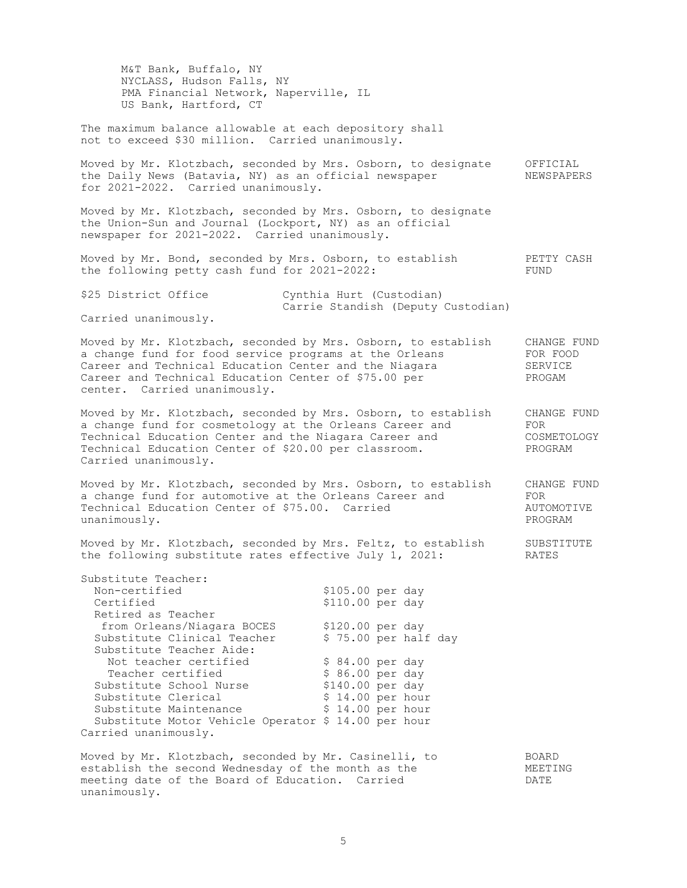M&T Bank, Buffalo, NY NYCLASS, Hudson Falls, NY PMA Financial Network, Naperville, IL US Bank, Hartford, CT The maximum balance allowable at each depository shall not to exceed \$30 million. Carried unanimously. Moved by Mr. Klotzbach, seconded by Mrs. Osborn, to designate OFFICIAL the Daily News (Batavia, NY) as an official newspaper MEWSPAPERS for 2021-2022. Carried unanimously. Moved by Mr. Klotzbach, seconded by Mrs. Osborn, to designate the Union-Sun and Journal (Lockport, NY) as an official newspaper for 2021-2022. Carried unanimously. Moved by Mr. Bond, seconded by Mrs. Osborn, to establish PETTY CASH<br>the following petty cash fund for 2021-2022: the following petty cash fund for  $2021 - 2022$ : \$25 District Office Cynthia Hurt (Custodian) Carrie Standish (Deputy Custodian) Carried unanimously. Moved by Mr. Klotzbach, seconded by Mrs. Osborn, to establish CHANGE FUND a change fund for food service programs at the Orleans FOR FOOD Career and Technical Education Center and the Niagara SERVICE Career and Technical Education Center of \$75.00 per PROGAM center. Carried unanimously. Moved by Mr. Klotzbach, seconded by Mrs. Osborn, to establish CHANGE FUND<br>a change fund for cosmetology at the Orleans Career and FOR a change fund for cosmetology at the Orleans Career and FOR Technical Education Center and the Niagara Career and COSMETOLOGY Technical Education Center of \$20.00 per classroom. PROGRAM Carried unanimously. Moved by Mr. Klotzbach, seconded by Mrs. Osborn, to establish CHANGE FUND a change fund for automotive at the Orleans Career and FOR Technical Education Center of \$75.00. Carried AUTOMOTIVE unanimously. unanimously. Moved by Mr. Klotzbach, seconded by Mrs. Feltz, to establish SUBSTITUTE the following substitute rates effective July 1, 2021: RATES Substitute Teacher: Non-certified \$105.00 per day Certified  $$110.00$  per day Retired as Teacher from Orleans/Niagara BOCES \$120.00 per day Substitute Clinical Teacher \$ 75.00 per half day Substitute Teacher Aide: Not teacher certified  $$ 84.00~per$  day Teacher certified  $$ 86.00 \text{ per day}$ Substitute School Nurse \$140.00 per day Substitute Clerical  $$ 14.00 per hour$ Substitute Maintenance  $\uparrow$  \$ 14.00 per hour Substitute Motor Vehicle Operator \$ 14.00 per hour Carried unanimously. Moved by Mr. Klotzbach, seconded by Mr. Casinelli, to BOARD establish the second Wednesday of the month as the  $MEETING$ meeting date of the Board of Education. Carried DATE unanimously.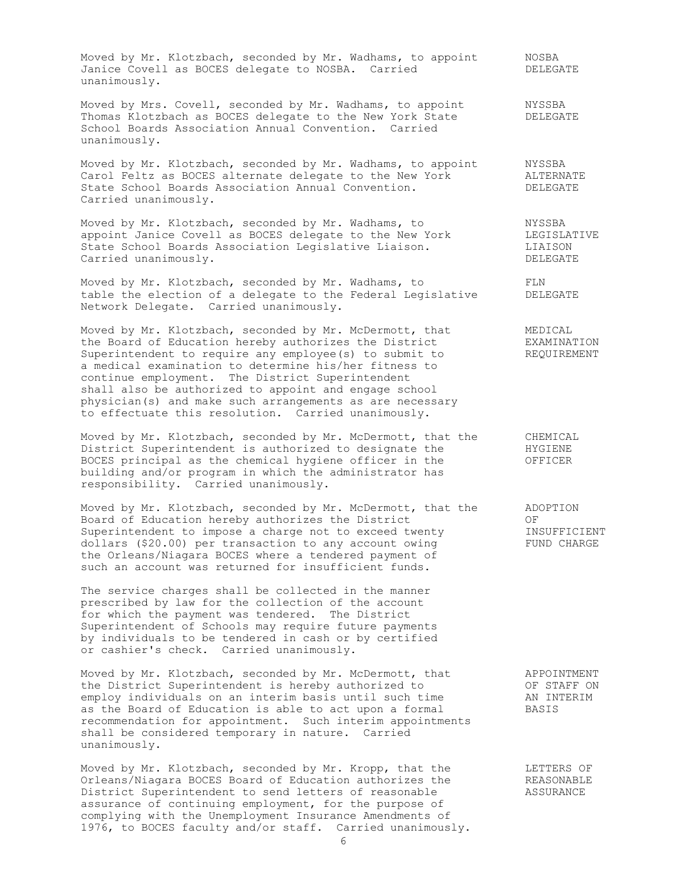Moved by Mr. Klotzbach, seconded by Mr. Wadhams, to appoint MOSBA Janice Covell as BOCES delegate to NOSBA. Carried DELEGATE unanimously.

Moved by Mrs. Covell, seconded by Mr. Wadhams, to appoint MYSSBA Thomas Klotzbach as BOCES delegate to the New York State DELEGATE School Boards Association Annual Convention. Carried unanimously.

Moved by Mr. Klotzbach, seconded by Mr. Wadhams, to appoint MYSSBA Carol Feltz as BOCES alternate delegate to the New York ALTERNATE State School Boards Association Annual Convention. The DELEGATE Carried unanimously.

Moved by Mr. Klotzbach, seconded by Mr. Wadhams, to **NYSSBA** appoint Janice Covell as BOCES delegate to the New York LEGISLATIVE State School Boards Association Legislative Liaison. LIAISON Carried unanimously. DELEGATE

Moved by Mr. Klotzbach, seconded by Mr. Wadhams, to FLN Moved by Mr. Kiotzbach, seconded by Mr. Wadhams, to a series of the teather of a delegate to the Federal Legislative DELEGATE Network Delegate. Carried unanimously.

Moved by Mr. Klotzbach, seconded by Mr. McDermott, that **MEDICAL** the Board of Education hereby authorizes the District EXAMINATION Superintendent to require any employee(s) to submit to THEQUIREMENT a medical examination to determine his/her fitness to continue employment. The District Superintendent shall also be authorized to appoint and engage school physician(s) and make such arrangements as are necessary to effectuate this resolution. Carried unanimously.

Moved by Mr. Klotzbach, seconded by Mr. McDermott, that the CHEMICAL District Superintendent is authorized to designate the HYGIENE BOCES principal as the chemical hygiene officer in the OFFICER building and/or program in which the administrator has responsibility. Carried unanimously.

Moved by Mr. Klotzbach, seconded by Mr. McDermott, that the ADOPTION Board of Education hereby authorizes the District OF Superintendent to impose a charge not to exceed twenty **INSUFFICIENT** dollars (\$20.00) per transaction to any account owing FUND CHARGE the Orleans/Niagara BOCES where a tendered payment of such an account was returned for insufficient funds.

The service charges shall be collected in the manner prescribed by law for the collection of the account for which the payment was tendered. The District Superintendent of Schools may require future payments by individuals to be tendered in cash or by certified or cashier's check. Carried unanimously.

Moved by Mr. Klotzbach, seconded by Mr. McDermott, that APPOINTMENT the District Superintendent is hereby authorized to OF STAFF ON employ individuals on an interim basis until such time AN INTERIM as the Board of Education is able to act upon a formal BASIS recommendation for appointment. Such interim appointments shall be considered temporary in nature. Carried unanimously.

Moved by Mr. Klotzbach, seconded by Mr. Kropp, that the TETTERS OF Orleans/Niagara BOCES Board of Education authorizes the REASONABLE District Superintendent to send letters of reasonable ASSURANCE assurance of continuing employment, for the purpose of complying with the Unemployment Insurance Amendments of 1976, to BOCES faculty and/or staff. Carried unanimously.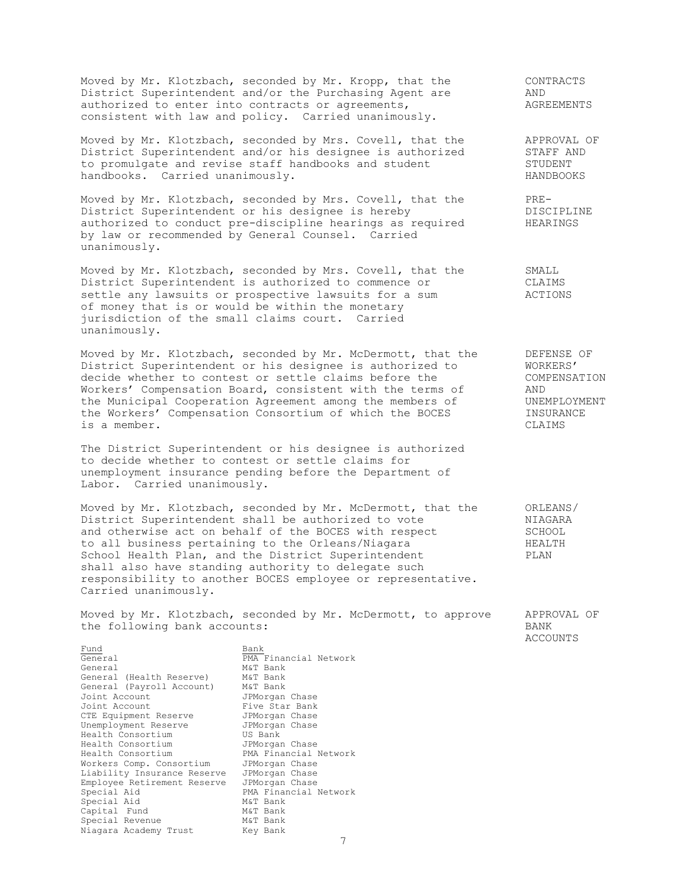Moved by Mr. Klotzbach, seconded by Mr. Kropp, that the CONTRACTS District Superintendent and/or the Purchasing Agent are AND authorized to enter into contracts or agreements, The MAGREEMENTS consistent with law and policy. Carried unanimously.

Moved by Mr. Klotzbach, seconded by Mrs. Covell, that the APPROVAL OF District Superintendent and/or his designee is authorized STAFF AND to promulgate and revise staff handbooks and student STUDENT handbooks. Carried unanimously. The settlement of the HANDBOOKS

Moved by Mr. Klotzbach, seconded by Mrs. Covell, that the PRE-District Superintendent or his designee is hereby DISCIPLINE authorized to conduct pre-discipline hearings as required HEARINGS by law or recommended by General Counsel. Carried unanimously.

Moved by Mr. Klotzbach, seconded by Mrs. Covell, that the SMALL Moved by Mr. Klotzbach, seconded by Historical, entity of the CLAIMS<br>District Superintendent is authorized to commence or CLAIMS<br>settle any lawsuits or prospective lawsuits for a sum actions settle any lawsuits or prospective lawsuits for a sum of money that is or would be within the monetary jurisdiction of the small claims court. Carried unanimously.

Moved by Mr. Klotzbach, seconded by Mr. McDermott, that the BEFENSE OF District Superintendent or his designee is authorized to WORKERS' decide whether to contest or settle claims before the COMPENSATION<br>Workers' Compensation Board, consistent with the terms of AND Workers' Compensation Board, consistent with the terms of AND<br>the Municipal Cooperation Agreement among the members of UNEMPLOYMENT the Municipal Cooperation Agreement among the members of UNEMPLOYM<br>the Workers' Compensation Consortium of which the BOCES INSURANCE the Workers' Compensation Consortium of which the BOCES INSURAL<br>is a member. CLAIMS is a member.

The District Superintendent or his designee is authorized to decide whether to contest or settle claims for unemployment insurance pending before the Department of Labor. Carried unanimously.

Moved by Mr. Klotzbach, seconded by Mr. McDermott, that the ORLEANS/ District Superintendent shall be authorized to vote NIAGARA District superintendent shall be additioned to their control of the BOCES with respect SCHOOL<br>to all business pertaining to the Orleans/Niagara The HEALTH to all business pertaining to the Orleans/Niagara<br>School Health Plan, and the District Superintendent FLAN School Health Plan, and the District Superintendent shall also have standing authority to delegate such responsibility to another BOCES employee or representative. Carried unanimously.

Moved by Mr. Klotzbach, seconded by Mr. McDermott, to approve APPROVAL OF the following bank accounts: BANK

ACCOUNTS

General M&T Bank General (Health Reserve) M&T Bank General (Payroll Account) M&T Bank Joint Account **IPMorgan** Chase Joint Account **Five Star Bank** CTE Equipment Reserve JPMorgan Chase Unemployment Reserve JPMorgan Chase Health Consortium **US** Bank Health Consortium JPMorgan Chase Health Consortium PMA Financial Network Workers Comp. Consortium JPMorgan Chase Liability Insurance Reserve JPMorgan Chase Employee Retirement Reserve JPMorgan Chase Special Aid **PMA** Financial Network Employee (1992)<br>
Special Aid M&T Bank<br>
Special Aid M&T Bank<br>
Capital Fund M&T Bank Capital Fund M&T Bank Special Revenue M&T Bank Niagara Lunw<br>Special Revenue Mar Bank<br>Niagara Academy Trust Key Bank

7 Fund<br>General Bank<br>PMA **PMA** Financial Network<br>M&T Bank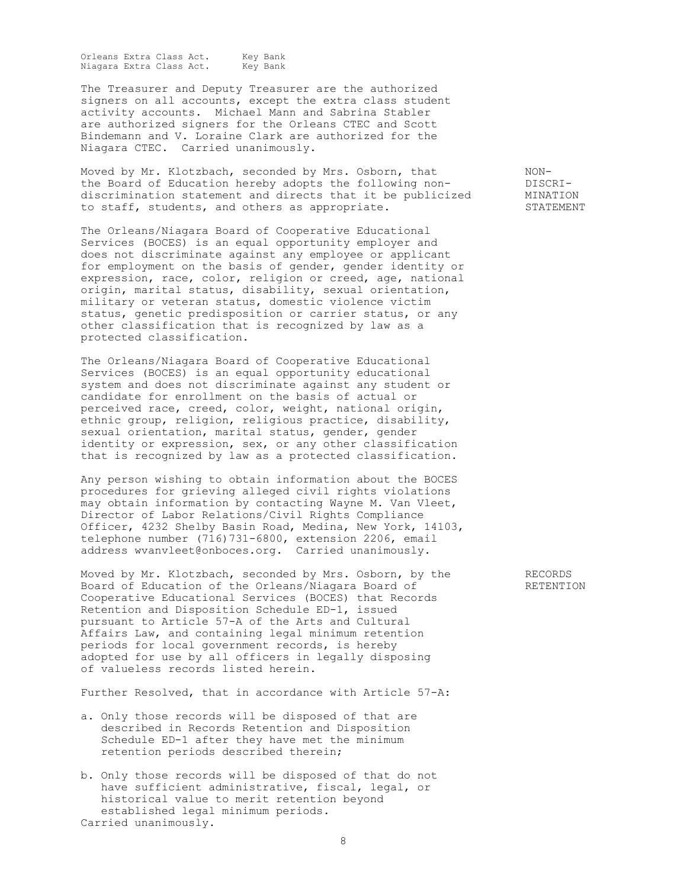Orleans Extra Class Act. Key Bank<br>Niagara Extra Class Act. Key Bank Niagara Extra Class Act.

The Treasurer and Deputy Treasurer are the authorized signers on all accounts, except the extra class student activity accounts. Michael Mann and Sabrina Stabler are authorized signers for the Orleans CTEC and Scott Bindemann and V. Loraine Clark are authorized for the Niagara CTEC. Carried unanimously.

Moved by Mr. Klotzbach, seconded by Mrs. Osborn, that MONthe Board of Education hereby adopts the following non-<br>discrimination statement and directs that it be publicized MINATION discrimination statement and directs that it be publicized to staff, students, and others as appropriate. The state of STATEMENT

The Orleans/Niagara Board of Cooperative Educational Services (BOCES) is an equal opportunity employer and does not discriminate against any employee or applicant for employment on the basis of gender, gender identity or expression, race, color, religion or creed, age, national origin, marital status, disability, sexual orientation, military or veteran status, domestic violence victim status, genetic predisposition or carrier status, or any other classification that is recognized by law as a protected classification.

The Orleans/Niagara Board of Cooperative Educational Services (BOCES) is an equal opportunity educational system and does not discriminate against any student or candidate for enrollment on the basis of actual or perceived race, creed, color, weight, national origin, ethnic group, religion, religious practice, disability, sexual orientation, marital status, gender, gender identity or expression, sex, or any other classification that is recognized by law as a protected classification.

Any person wishing to obtain information about the BOCES procedures for grieving alleged civil rights violations may obtain information by contacting Wayne M. Van Vleet, Director of Labor Relations/Civil Rights Compliance Officer, 4232 Shelby Basin Road, Medina, New York, 14103, telephone number  $(7\overline{1}6)731-6800$ , extension 2206, email address [wvanvleet@onboces.org.](mailto:wvanvleet@onboces.org) Carried unanimously.

Moved by Mr. Klotzbach, seconded by Mrs. Osborn, by the RECORDS Board of Education of the Orleans/Niagara Board of RETENTION Cooperative Educational Services (BOCES) that Records Retention and Disposition Schedule ED-1, issued pursuant to Article 57-A of the Arts and Cultural Affairs Law, and containing legal minimum retention periods for local government records, is hereby adopted for use by all officers in legally disposing of valueless records listed herein.

Further Resolved, that in accordance with Article 57-A:

- a. Only those records will be disposed of that are described in Records Retention and Disposition Schedule ED-1 after they have met the minimum retention periods described therein;
- b. Only those records will be disposed of that do not have sufficient administrative, fiscal, legal, or historical value to merit retention beyond established legal minimum periods. Carried unanimously.